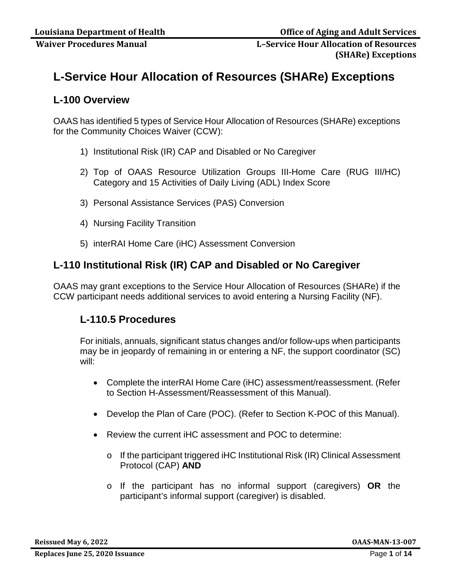# **L-Service Hour Allocation of Resources (SHARe) Exceptions**

## **L-100 Overview**

OAAS has identified 5 types of Service Hour Allocation of Resources (SHARe) exceptions for the Community Choices Waiver (CCW):

- 1) Institutional Risk (IR) CAP and Disabled or No Caregiver
- 2) Top of OAAS Resource Utilization Groups III-Home Care (RUG III/HC) Category and 15 Activities of Daily Living (ADL) Index Score
- 3) Personal Assistance Services (PAS) Conversion
- 4) Nursing Facility Transition
- 5) interRAI Home Care (iHC) Assessment Conversion

## **L-110 Institutional Risk (IR) CAP and Disabled or No Caregiver**

OAAS may grant exceptions to the Service Hour Allocation of Resources (SHARe) if the CCW participant needs additional services to avoid entering a Nursing Facility (NF).

## **L-110.5 Procedures**

For initials, annuals, significant status changes and/or follow-ups when participants may be in jeopardy of remaining in or entering a NF, the support coordinator (SC) will:

- Complete the interRAI Home Care (iHC) assessment/reassessment. (Refer to Section H-Assessment/Reassessment of this Manual).
- Develop the Plan of Care (POC). (Refer to Section K-POC of this Manual).
- Review the current iHC assessment and POC to determine:
	- o If the participant triggered iHC Institutional Risk (IR) Clinical Assessment Protocol (CAP) **AND**
	- o If the participant has no informal support (caregivers) **OR** the participant's informal support (caregiver) is disabled.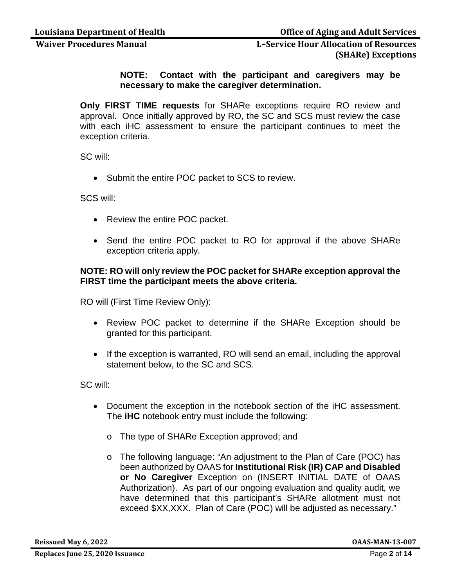**NOTE: Contact with the participant and caregivers may be necessary to make the caregiver determination.** 

**Only FIRST TIME requests** for SHARe exceptions require RO review and approval. Once initially approved by RO, the SC and SCS must review the case with each iHC assessment to ensure the participant continues to meet the exception criteria.

SC will:

• Submit the entire POC packet to SCS to review.

SCS will:

- Review the entire POC packet.
- Send the entire POC packet to RO for approval if the above SHARe exception criteria apply.

### **NOTE: RO will only review the POC packet for SHARe exception approval the FIRST time the participant meets the above criteria.**

RO will (First Time Review Only):

- Review POC packet to determine if the SHARe Exception should be granted for this participant.
- If the exception is warranted, RO will send an email, including the approval statement below, to the SC and SCS.

SC will:

- Document the exception in the notebook section of the iHC assessment. The **iHC** notebook entry must include the following:
	- o The type of SHARe Exception approved; and
	- o The following language: "An adjustment to the Plan of Care (POC) has been authorized by OAAS for **Institutional Risk (IR) CAP and Disabled or No Caregiver** Exception on (INSERT INITIAL DATE of OAAS Authorization). As part of our ongoing evaluation and quality audit, we have determined that this participant's SHARe allotment must not exceed \$XX,XXX. Plan of Care (POC) will be adjusted as necessary."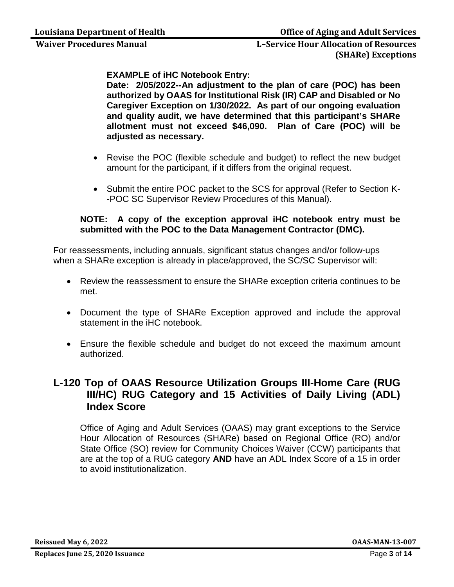**EXAMPLE of iHC Notebook Entry:**

**Date: 2/05/2022--An adjustment to the plan of care (POC) has been authorized by OAAS for Institutional Risk (IR) CAP and Disabled or No Caregiver Exception on 1/30/2022. As part of our ongoing evaluation and quality audit, we have determined that this participant's SHARe allotment must not exceed \$46,090. Plan of Care (POC) will be adjusted as necessary.**

- Revise the POC (flexible schedule and budget) to reflect the new budget amount for the participant, if it differs from the original request.
- Submit the entire POC packet to the SCS for approval (Refer to Section K- -POC SC Supervisor Review Procedures of this Manual).

### **NOTE: A copy of the exception approval iHC notebook entry must be submitted with the POC to the Data Management Contractor (DMC).**

For reassessments, including annuals, significant status changes and/or follow-ups when a SHARe exception is already in place/approved, the SC/SC Supervisor will:

- Review the reassessment to ensure the SHARe exception criteria continues to be met.
- Document the type of SHARe Exception approved and include the approval statement in the iHC notebook.
- Ensure the flexible schedule and budget do not exceed the maximum amount authorized.

## **L-120 Top of OAAS Resource Utilization Groups III-Home Care (RUG III/HC) RUG Category and 15 Activities of Daily Living (ADL) Index Score**

Office of Aging and Adult Services (OAAS) may grant exceptions to the Service Hour Allocation of Resources (SHARe) based on Regional Office (RO) and/or State Office (SO) review for Community Choices Waiver (CCW) participants that are at the top of a RUG category **AND** have an ADL Index Score of a 15 in order to avoid institutionalization.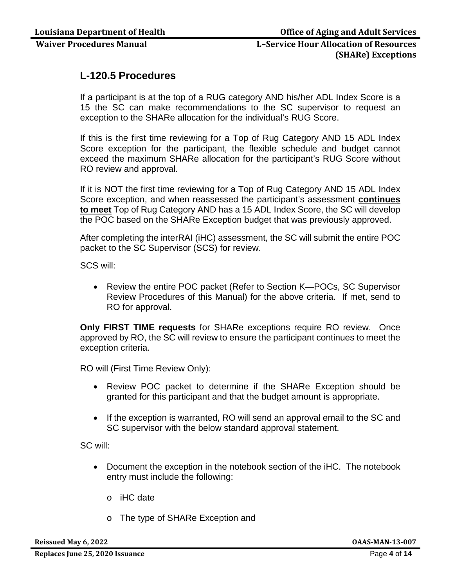## **L-120.5 Procedures**

If a participant is at the top of a RUG category AND his/her ADL Index Score is a 15 the SC can make recommendations to the SC supervisor to request an exception to the SHARe allocation for the individual's RUG Score.

If this is the first time reviewing for a Top of Rug Category AND 15 ADL Index Score exception for the participant, the flexible schedule and budget cannot exceed the maximum SHARe allocation for the participant's RUG Score without RO review and approval.

If it is NOT the first time reviewing for a Top of Rug Category AND 15 ADL Index Score exception, and when reassessed the participant's assessment **continues to meet** Top of Rug Category AND has a 15 ADL Index Score, the SC will develop the POC based on the SHARe Exception budget that was previously approved.

After completing the interRAI (iHC) assessment, the SC will submit the entire POC packet to the SC Supervisor (SCS) for review.

SCS will:

• Review the entire POC packet (Refer to Section K—POCs, SC Supervisor Review Procedures of this Manual) for the above criteria. If met, send to RO for approval.

**Only FIRST TIME requests** for SHARe exceptions require RO review. Once approved by RO, the SC will review to ensure the participant continues to meet the exception criteria.

RO will (First Time Review Only):

- Review POC packet to determine if the SHARe Exception should be granted for this participant and that the budget amount is appropriate.
- If the exception is warranted, RO will send an approval email to the SC and SC supervisor with the below standard approval statement.

SC will:

- Document the exception in the notebook section of the iHC. The notebook entry must include the following:
	- o iHC date
	- o The type of SHARe Exception and

**Reissued May 6, 2022 OAAS-MAN-13-007**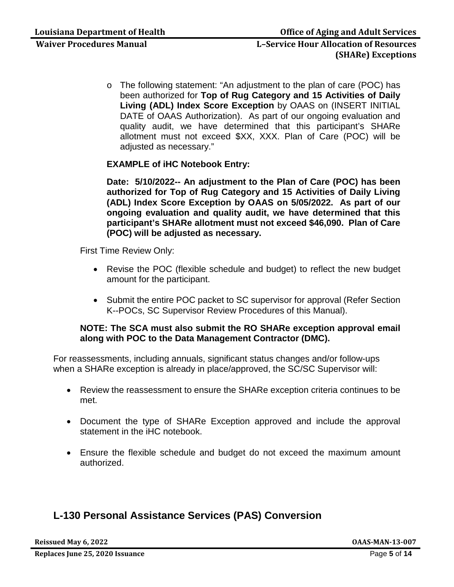o The following statement: "An adjustment to the plan of care (POC) has been authorized for **Top of Rug Category and 15 Activities of Daily Living (ADL) Index Score Exception** by OAAS on (INSERT INITIAL DATE of OAAS Authorization). As part of our ongoing evaluation and quality audit, we have determined that this participant's SHARe allotment must not exceed \$XX, XXX. Plan of Care (POC) will be adjusted as necessary."

### **EXAMPLE of iHC Notebook Entry:**

**Date: 5/10/2022-- An adjustment to the Plan of Care (POC) has been authorized for Top of Rug Category and 15 Activities of Daily Living (ADL) Index Score Exception by OAAS on 5/05/2022. As part of our ongoing evaluation and quality audit, we have determined that this participant's SHARe allotment must not exceed \$46,090. Plan of Care (POC) will be adjusted as necessary.**

First Time Review Only:

- Revise the POC (flexible schedule and budget) to reflect the new budget amount for the participant.
- Submit the entire POC packet to SC supervisor for approval (Refer Section K--POCs, SC Supervisor Review Procedures of this Manual).

### **NOTE: The SCA must also submit the RO SHARe exception approval email along with POC to the Data Management Contractor (DMC).**

For reassessments, including annuals, significant status changes and/or follow-ups when a SHARe exception is already in place/approved, the SC/SC Supervisor will:

- Review the reassessment to ensure the SHARe exception criteria continues to be met.
- Document the type of SHARe Exception approved and include the approval statement in the iHC notebook.
- Ensure the flexible schedule and budget do not exceed the maximum amount authorized.

## **L-130 Personal Assistance Services (PAS) Conversion**

**Reissued May 6, 2022 OAAS-MAN-13-007**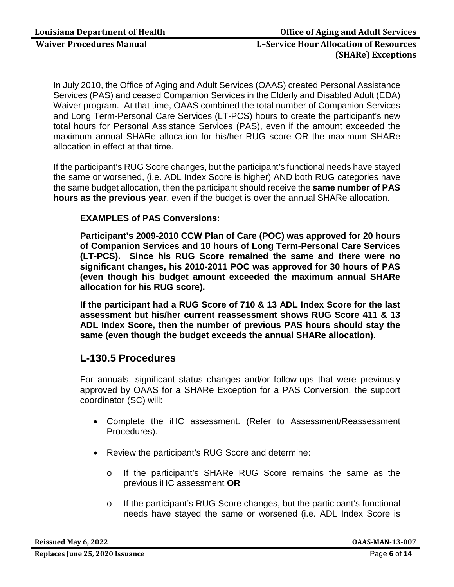In July 2010, the Office of Aging and Adult Services (OAAS) created Personal Assistance Services (PAS) and ceased Companion Services in the Elderly and Disabled Adult (EDA) Waiver program. At that time, OAAS combined the total number of Companion Services and Long Term-Personal Care Services (LT-PCS) hours to create the participant's new total hours for Personal Assistance Services (PAS), even if the amount exceeded the maximum annual SHARe allocation for his/her RUG score OR the maximum SHARe allocation in effect at that time.

If the participant's RUG Score changes, but the participant's functional needs have stayed the same or worsened, (i.e. ADL Index Score is higher) AND both RUG categories have the same budget allocation, then the participant should receive the **same number of PAS hours as the previous year**, even if the budget is over the annual SHARe allocation.

### **EXAMPLES of PAS Conversions:**

**Participant's 2009-2010 CCW Plan of Care (POC) was approved for 20 hours of Companion Services and 10 hours of Long Term-Personal Care Services (LT-PCS). Since his RUG Score remained the same and there were no significant changes, his 2010-2011 POC was approved for 30 hours of PAS (even though his budget amount exceeded the maximum annual SHARe allocation for his RUG score).** 

**If the participant had a RUG Score of 710 & 13 ADL Index Score for the last assessment but his/her current reassessment shows RUG Score 411 & 13 ADL Index Score, then the number of previous PAS hours should stay the same (even though the budget exceeds the annual SHARe allocation).**

## **L-130.5 Procedures**

For annuals, significant status changes and/or follow-ups that were previously approved by OAAS for a SHARe Exception for a PAS Conversion, the support coordinator (SC) will:

- Complete the iHC assessment. (Refer to Assessment/Reassessment Procedures).
- Review the participant's RUG Score and determine:
	- o If the participant's SHARe RUG Score remains the same as the previous iHC assessment **OR**
	- o If the participant's RUG Score changes, but the participant's functional needs have stayed the same or worsened (i.e. ADL Index Score is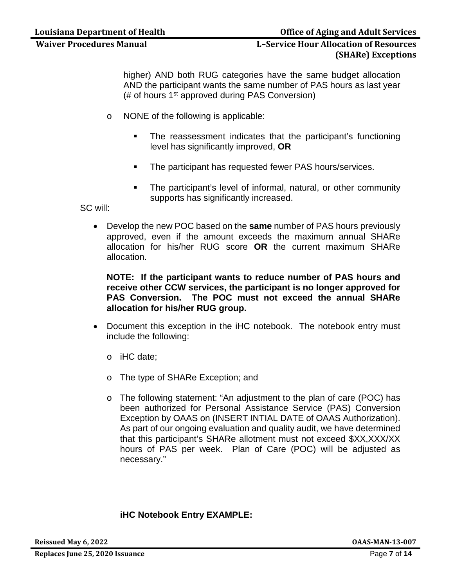### **Louisiana Department of Health Community Community Community Community Community Community Community Community**

## **Waiver Procedures Manual L–Service Hour Allocation of Resources (SHARe) Exceptions**

higher) AND both RUG categories have the same budget allocation AND the participant wants the same number of PAS hours as last year (# of hours 1st approved during PAS Conversion)

- o NONE of the following is applicable:
	- The reassessment indicates that the participant's functioning level has significantly improved, **OR**
	- **The participant has requested fewer PAS hours/services.**
	- **The participant's level of informal, natural, or other community** supports has significantly increased.

SC will:

• Develop the new POC based on the **same** number of PAS hours previously approved, even if the amount exceeds the maximum annual SHARe allocation for his/her RUG score **OR** the current maximum SHARe allocation.

**NOTE: If the participant wants to reduce number of PAS hours and receive other CCW services, the participant is no longer approved for PAS Conversion. The POC must not exceed the annual SHARe allocation for his/her RUG group.**

- Document this exception in the iHC notebook. The notebook entry must include the following:
	- o iHC date;
	- o The type of SHARe Exception; and
	- o The following statement: "An adjustment to the plan of care (POC) has been authorized for Personal Assistance Service (PAS) Conversion Exception by OAAS on (INSERT INTIAL DATE of OAAS Authorization). As part of our ongoing evaluation and quality audit, we have determined that this participant's SHARe allotment must not exceed \$XX,XXX/XX hours of PAS per week. Plan of Care (POC) will be adjusted as necessary."

### **iHC Notebook Entry EXAMPLE:**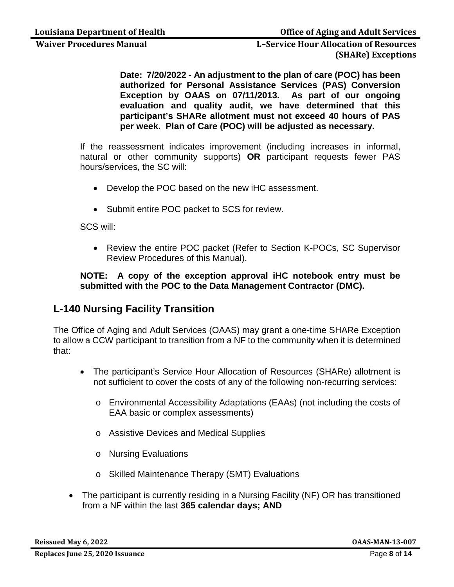> **Date: 7/20/2022 - An adjustment to the plan of care (POC) has been authorized for Personal Assistance Services (PAS) Conversion Exception by OAAS on 07/11/2013. As part of our ongoing evaluation and quality audit, we have determined that this participant's SHARe allotment must not exceed 40 hours of PAS per week. Plan of Care (POC) will be adjusted as necessary.**

If the reassessment indicates improvement (including increases in informal, natural or other community supports) **OR** participant requests fewer PAS hours/services, the SC will:

- Develop the POC based on the new iHC assessment.
- Submit entire POC packet to SCS for review.

SCS will:

• Review the entire POC packet (Refer to Section K-POCs, SC Supervisor Review Procedures of this Manual).

### **NOTE: A copy of the exception approval iHC notebook entry must be submitted with the POC to the Data Management Contractor (DMC).**

## **L-140 Nursing Facility Transition**

The Office of Aging and Adult Services (OAAS) may grant a one-time SHARe Exception to allow a CCW participant to transition from a NF to the community when it is determined that:

- The participant's Service Hour Allocation of Resources (SHARe) allotment is not sufficient to cover the costs of any of the following non-recurring services:
	- o Environmental Accessibility Adaptations (EAAs) (not including the costs of EAA basic or complex assessments)
	- o Assistive Devices and Medical Supplies
	- o Nursing Evaluations
	- o Skilled Maintenance Therapy (SMT) Evaluations
- The participant is currently residing in a Nursing Facility (NF) OR has transitioned from a NF within the last **365 calendar days; AND**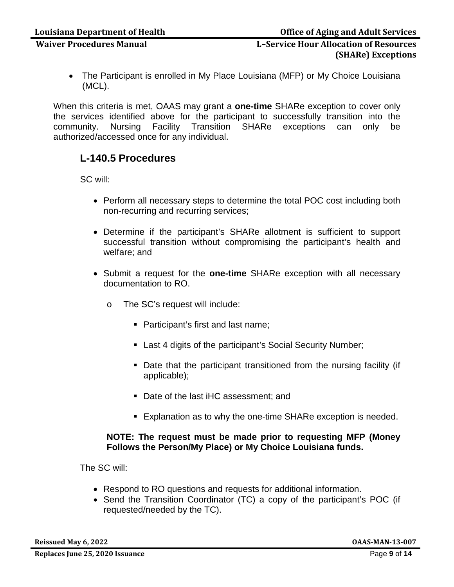• The Participant is enrolled in My Place Louisiana (MFP) or My Choice Louisiana (MCL).

When this criteria is met, OAAS may grant a **one-time** SHARe exception to cover only the services identified above for the participant to successfully transition into the community. Nursing Facility Transition SHARe exceptions can only be community. Nursing Facility Transition SHARe exceptions can only be authorized/accessed once for any individual.

## **L-140.5 Procedures**

SC will:

- Perform all necessary steps to determine the total POC cost including both non-recurring and recurring services;
- Determine if the participant's SHARe allotment is sufficient to support successful transition without compromising the participant's health and welfare; and
- Submit a request for the **one-time** SHARe exception with all necessary documentation to RO.
	- o The SC's request will include:
		- Participant's first and last name;
		- Last 4 digits of the participant's Social Security Number;
		- Date that the participant transitioned from the nursing facility (if applicable);
		- Date of the last iHC assessment; and
		- **Explanation as to why the one-time SHARe exception is needed.**

### **NOTE: The request must be made prior to requesting MFP (Money Follows the Person/My Place) or My Choice Louisiana funds.**

The SC will:

- Respond to RO questions and requests for additional information.
- Send the Transition Coordinator (TC) a copy of the participant's POC (if requested/needed by the TC).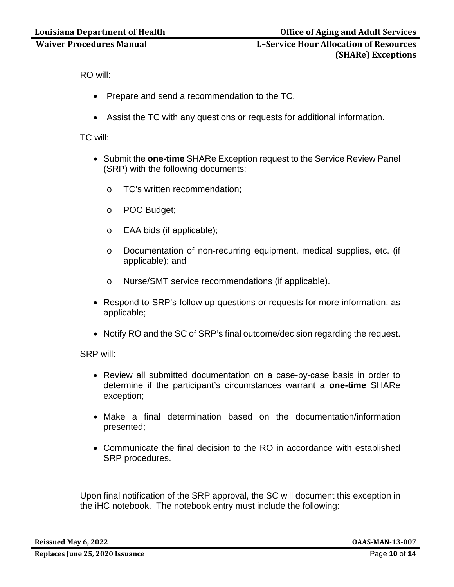RO will:

- Prepare and send a recommendation to the TC.
- Assist the TC with any questions or requests for additional information.

### TC will:

- Submit the **one-time** SHARe Exception request to the Service Review Panel (SRP) with the following documents:
	- o TC's written recommendation;
	- o POC Budget;
	- o EAA bids (if applicable);
	- o Documentation of non-recurring equipment, medical supplies, etc. (if applicable); and
	- o Nurse/SMT service recommendations (if applicable).
- Respond to SRP's follow up questions or requests for more information, as applicable;
- Notify RO and the SC of SRP's final outcome/decision regarding the request.

SRP will:

- Review all submitted documentation on a case-by-case basis in order to determine if the participant's circumstances warrant a **one-time** SHARe exception;
- Make a final determination based on the documentation/information presented;
- Communicate the final decision to the RO in accordance with established SRP procedures.

Upon final notification of the SRP approval, the SC will document this exception in the iHC notebook. The notebook entry must include the following: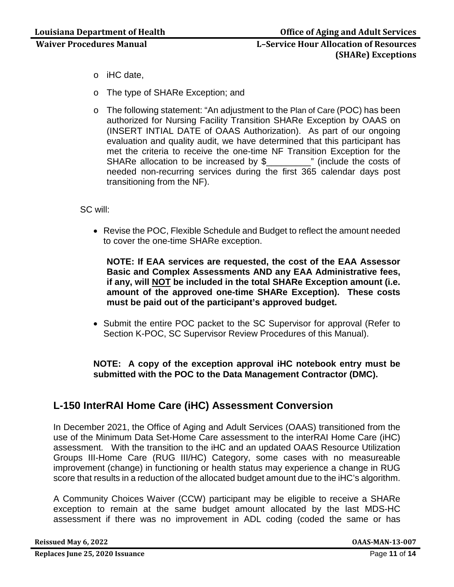- o iHC date,
- o The type of SHARe Exception; and
- o The following statement: "An adjustment to the Plan of Care (POC) has been authorized for Nursing Facility Transition SHARe Exception by OAAS on (INSERT INTIAL DATE of OAAS Authorization). As part of our ongoing evaluation and quality audit, we have determined that this participant has met the criteria to receive the one-time NF Transition Exception for the SHARe allocation to be increased by \$ The module the costs of needed non-recurring services during the first 365 calendar days post transitioning from the NF).

SC will:

• Revise the POC, Flexible Schedule and Budget to reflect the amount needed to cover the one-time SHARe exception.

**NOTE: If EAA services are requested, the cost of the EAA Assessor Basic and Complex Assessments AND any EAA Administrative fees, if any, will NOT be included in the total SHARe Exception amount (i.e. amount of the approved one-time SHARe Exception). These costs must be paid out of the participant's approved budget.**

• Submit the entire POC packet to the SC Supervisor for approval (Refer to Section K-POC, SC Supervisor Review Procedures of this Manual).

### **NOTE: A copy of the exception approval iHC notebook entry must be submitted with the POC to the Data Management Contractor (DMC).**

## **L-150 InterRAI Home Care (iHC) Assessment Conversion**

In December 2021, the Office of Aging and Adult Services (OAAS) transitioned from the use of the Minimum Data Set-Home Care assessment to the interRAI Home Care (iHC) assessment. With the transition to the iHC and an updated OAAS Resource Utilization Groups III-Home Care (RUG III/HC) Category, some cases with no measureable improvement (change) in functioning or health status may experience a change in RUG score that results in a reduction of the allocated budget amount due to the iHC's algorithm.

A Community Choices Waiver (CCW) participant may be eligible to receive a SHARe exception to remain at the same budget amount allocated by the last MDS-HC assessment if there was no improvement in ADL coding (coded the same or has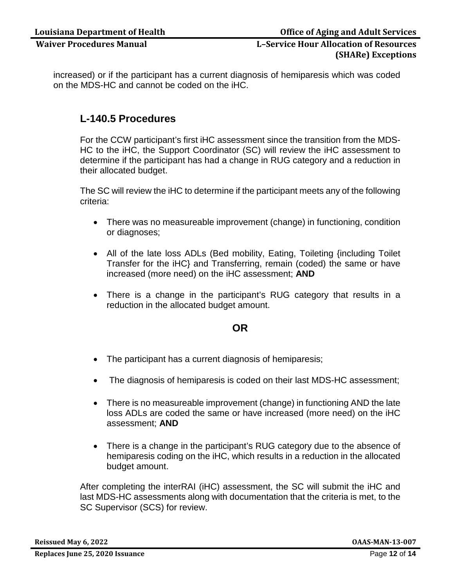increased) or if the participant has a current diagnosis of hemiparesis which was coded on the MDS-HC and cannot be coded on the iHC.

## **L-140.5 Procedures**

For the CCW participant's first iHC assessment since the transition from the MDS-HC to the iHC, the Support Coordinator (SC) will review the iHC assessment to determine if the participant has had a change in RUG category and a reduction in their allocated budget.

The SC will review the iHC to determine if the participant meets any of the following criteria:

- There was no measureable improvement (change) in functioning, condition or diagnoses;
- All of the late loss ADLs (Bed mobility, Eating, Toileting {including Toilet Transfer for the iHC} and Transferring, remain (coded) the same or have increased (more need) on the iHC assessment; **AND**
- There is a change in the participant's RUG category that results in a reduction in the allocated budget amount.

### **OR**

- The participant has a current diagnosis of hemiparesis;
- The diagnosis of hemiparesis is coded on their last MDS-HC assessment;
- There is no measureable improvement (change) in functioning AND the late loss ADLs are coded the same or have increased (more need) on the iHC assessment; **AND**
- There is a change in the participant's RUG category due to the absence of hemiparesis coding on the iHC, which results in a reduction in the allocated budget amount.

After completing the interRAI (iHC) assessment, the SC will submit the iHC and last MDS-HC assessments along with documentation that the criteria is met, to the SC Supervisor (SCS) for review.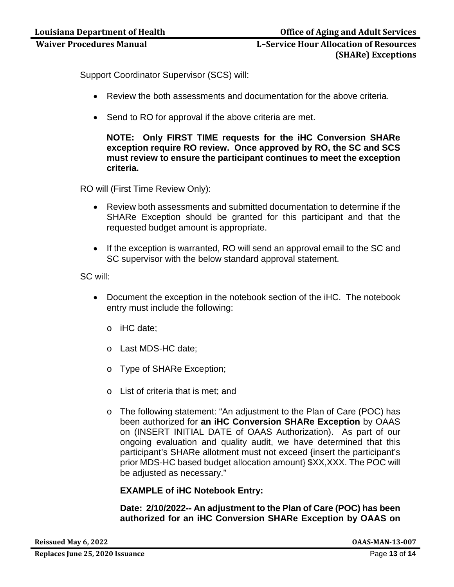Support Coordinator Supervisor (SCS) will:

- Review the both assessments and documentation for the above criteria.
- Send to RO for approval if the above criteria are met.

**NOTE: Only FIRST TIME requests for the iHC Conversion SHARe exception require RO review. Once approved by RO, the SC and SCS must review to ensure the participant continues to meet the exception criteria.** 

RO will (First Time Review Only):

- Review both assessments and submitted documentation to determine if the SHARe Exception should be granted for this participant and that the requested budget amount is appropriate.
- If the exception is warranted, RO will send an approval email to the SC and SC supervisor with the below standard approval statement.

SC will:

- Document the exception in the notebook section of the iHC. The notebook entry must include the following:
	- o iHC date;
	- o Last MDS-HC date;
	- o Type of SHARe Exception;
	- o List of criteria that is met; and
	- o The following statement: "An adjustment to the Plan of Care (POC) has been authorized for **an iHC Conversion SHARe Exception** by OAAS on (INSERT INITIAL DATE of OAAS Authorization). As part of our ongoing evaluation and quality audit, we have determined that this participant's SHARe allotment must not exceed {insert the participant's prior MDS-HC based budget allocation amount} \$XX,XXX. The POC will be adjusted as necessary."

**EXAMPLE of iHC Notebook Entry:**

**Date: 2/10/2022-- An adjustment to the Plan of Care (POC) has been authorized for an iHC Conversion SHARe Exception by OAAS on**